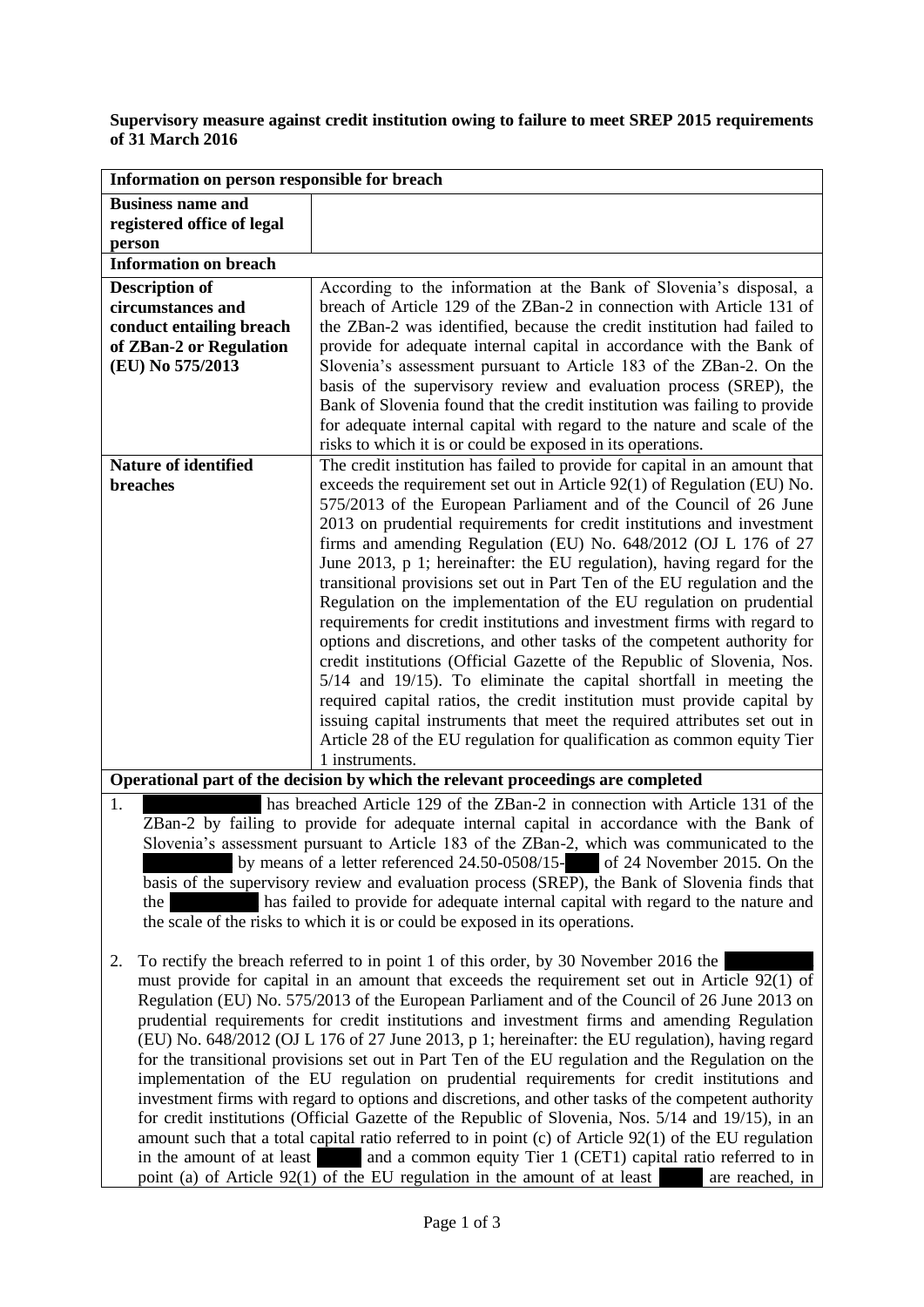## **Supervisory measure against credit institution owing to failure to meet SREP 2015 requirements of 31 March 2016**

| Information on person responsible for breach                                                                                                                                            |                                                                                                                                                     |
|-----------------------------------------------------------------------------------------------------------------------------------------------------------------------------------------|-----------------------------------------------------------------------------------------------------------------------------------------------------|
| <b>Business name and</b>                                                                                                                                                                |                                                                                                                                                     |
| registered office of legal                                                                                                                                                              |                                                                                                                                                     |
| person                                                                                                                                                                                  |                                                                                                                                                     |
| <b>Information on breach</b>                                                                                                                                                            |                                                                                                                                                     |
| <b>Description of</b>                                                                                                                                                                   | According to the information at the Bank of Slovenia's disposal, a                                                                                  |
| circumstances and                                                                                                                                                                       | breach of Article 129 of the ZBan-2 in connection with Article 131 of                                                                               |
| conduct entailing breach                                                                                                                                                                | the ZBan-2 was identified, because the credit institution had failed to                                                                             |
| of ZBan-2 or Regulation                                                                                                                                                                 | provide for adequate internal capital in accordance with the Bank of                                                                                |
| (EU) No 575/2013                                                                                                                                                                        | Slovenia's assessment pursuant to Article 183 of the ZBan-2. On the                                                                                 |
|                                                                                                                                                                                         | basis of the supervisory review and evaluation process (SREP), the                                                                                  |
|                                                                                                                                                                                         | Bank of Slovenia found that the credit institution was failing to provide                                                                           |
|                                                                                                                                                                                         | for adequate internal capital with regard to the nature and scale of the                                                                            |
|                                                                                                                                                                                         | risks to which it is or could be exposed in its operations.                                                                                         |
| <b>Nature of identified</b>                                                                                                                                                             | The credit institution has failed to provide for capital in an amount that                                                                          |
| breaches                                                                                                                                                                                | exceeds the requirement set out in Article $92(1)$ of Regulation (EU) No.                                                                           |
|                                                                                                                                                                                         | 575/2013 of the European Parliament and of the Council of 26 June                                                                                   |
|                                                                                                                                                                                         | 2013 on prudential requirements for credit institutions and investment                                                                              |
|                                                                                                                                                                                         | firms and amending Regulation (EU) No. 648/2012 (OJ L 176 of 27                                                                                     |
|                                                                                                                                                                                         | June 2013, p 1; hereinafter: the EU regulation), having regard for the                                                                              |
|                                                                                                                                                                                         | transitional provisions set out in Part Ten of the EU regulation and the                                                                            |
|                                                                                                                                                                                         | Regulation on the implementation of the EU regulation on prudential                                                                                 |
|                                                                                                                                                                                         | requirements for credit institutions and investment firms with regard to                                                                            |
|                                                                                                                                                                                         | options and discretions, and other tasks of the competent authority for                                                                             |
|                                                                                                                                                                                         | credit institutions (Official Gazette of the Republic of Slovenia, Nos.                                                                             |
|                                                                                                                                                                                         | 5/14 and 19/15). To eliminate the capital shortfall in meeting the                                                                                  |
|                                                                                                                                                                                         | required capital ratios, the credit institution must provide capital by                                                                             |
|                                                                                                                                                                                         | issuing capital instruments that meet the required attributes set out in<br>Article 28 of the EU regulation for qualification as common equity Tier |
|                                                                                                                                                                                         | 1 instruments.                                                                                                                                      |
| Operational part of the decision by which the relevant proceedings are completed                                                                                                        |                                                                                                                                                     |
| has breached Article 129 of the ZBan-2 in connection with Article 131 of the<br>1.                                                                                                      |                                                                                                                                                     |
|                                                                                                                                                                                         |                                                                                                                                                     |
| ZBan-2 by failing to provide for adequate internal capital in accordance with the Bank of<br>Slovenia's assessment pursuant to Article 183 of the ZBan-2, which was communicated to the |                                                                                                                                                     |
| by means of a letter referenced 24.50-0508/15- of 24 November 2015. On the                                                                                                              |                                                                                                                                                     |
| basis of the supervisory review and evaluation process (SREP), the Bank of Slovenia finds that                                                                                          |                                                                                                                                                     |
| has failed to provide for adequate internal capital with regard to the nature and<br>the                                                                                                |                                                                                                                                                     |
| the scale of the risks to which it is or could be exposed in its operations.                                                                                                            |                                                                                                                                                     |
|                                                                                                                                                                                         |                                                                                                                                                     |
| To rectify the breach referred to in point 1 of this order, by 30 November 2016 the<br>2.                                                                                               |                                                                                                                                                     |
|                                                                                                                                                                                         | must provide for capital in an amount that exceeds the requirement set out in Article 92(1) of                                                      |
|                                                                                                                                                                                         | Regulation (EU) No. 575/2013 of the European Parliament and of the Council of 26 June 2013 on                                                       |
| prudential requirements for credit institutions and investment firms and amending Regulation                                                                                            |                                                                                                                                                     |
| (EU) No. 648/2012 (OJ L 176 of 27 June 2013, p 1; hereinafter: the EU regulation), having regard                                                                                        |                                                                                                                                                     |
| for the transitional provisions set out in Part Ten of the EU regulation and the Regulation on the                                                                                      |                                                                                                                                                     |
| implementation of the EU regulation on prudential requirements for credit institutions and                                                                                              |                                                                                                                                                     |
| investment firms with regard to options and discretions, and other tasks of the competent authority                                                                                     |                                                                                                                                                     |
| for credit institutions (Official Gazette of the Republic of Slovenia, Nos. 5/14 and 19/15), in an                                                                                      |                                                                                                                                                     |
| amount such that a total capital ratio referred to in point $(c)$ of Article $92(1)$ of the EU regulation                                                                               |                                                                                                                                                     |
| in the amount of at least and a common equity Tier 1 (CET1) capital ratio referred to in                                                                                                |                                                                                                                                                     |
| point (a) of Article 92(1) of the EU regulation in the amount of at least<br>are reached, in                                                                                            |                                                                                                                                                     |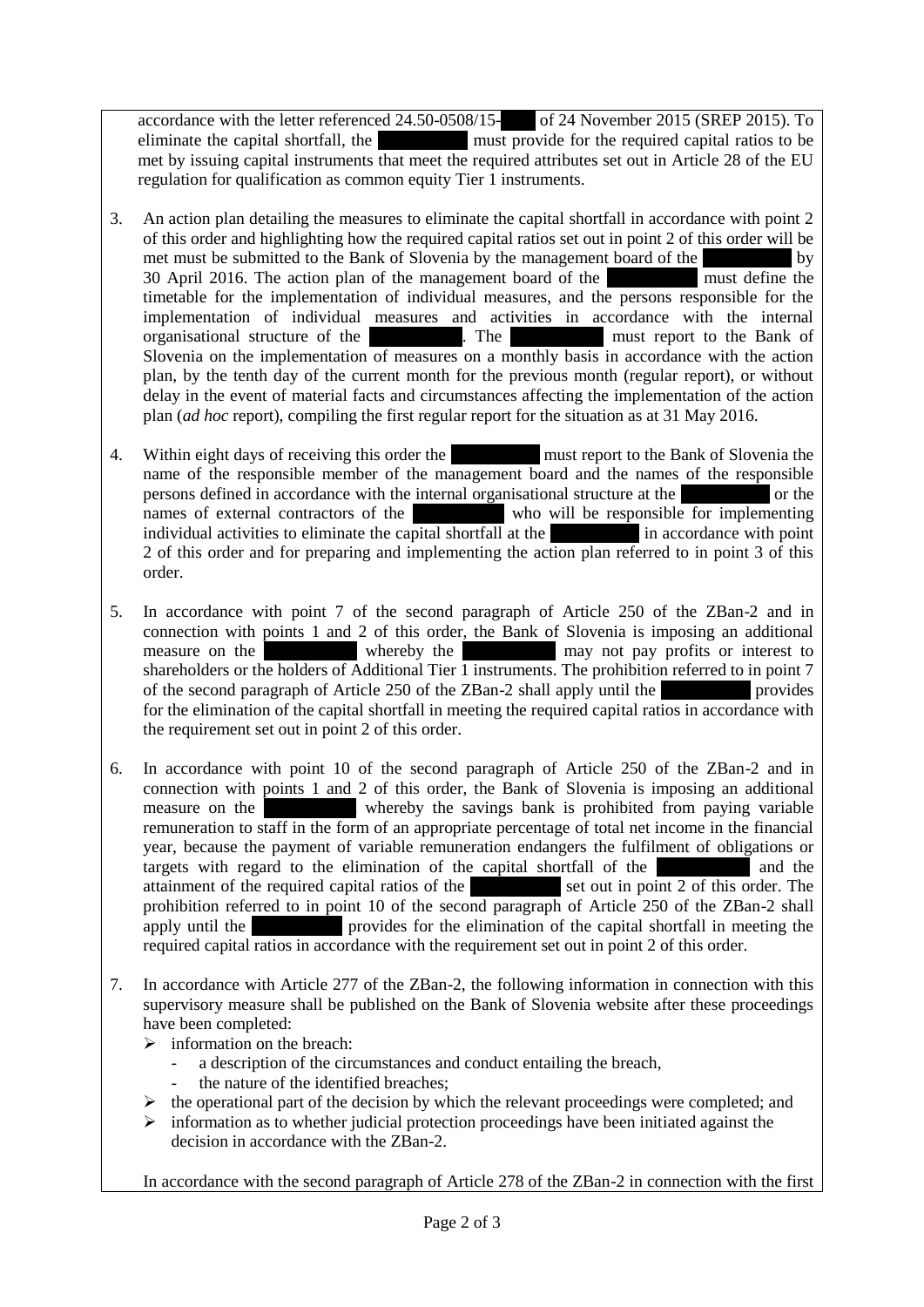accordance with the letter referenced 24.50-0508/15-<br>
of 24 November 2015 (SREP 2015). To eliminate the capital shortfall, the same same must provide for the required capital ratios to be met by issuing capital instruments that meet the required attributes set out in Article 28 of the EU regulation for qualification as common equity Tier 1 instruments.

- 3. An action plan detailing the measures to eliminate the capital shortfall in accordance with point 2 of this order and highlighting how the required capital ratios set out in point 2 of this order will be met must be submitted to the Bank of Slovenia by the management board of the same by  $30$  April 2016. The action plan of the management board of the same must define the timetable for the implementation of individual measures, and the persons responsible for the implementation of individual measures and activities in accordance with the internal organisational structure of the savings bank must report to the Bank of Slovenia on the implementation of measures on a monthly basis in accordance with the action plan, by the tenth day of the current month for the previous month (regular report), or without delay in the event of material facts and circumstances affecting the implementation of the action plan (*ad hoc* report), compiling the first regular report for the situation as at 31 May 2016.
- 4. Within eight days of receiving this order the same must report to the Bank of Slovenia the name of the responsible member of the management board and the names of the responsible persons defined in accordance with the internal organisational structure at the same or the names of external contractors of the same who will be responsible for implementing who will be responsible for implementing individual activities to eliminate the capital shortfall at the same in accordance with point 2 of this order and for preparing and implementing the action plan referred to in point 3 of this order.
- 5. In accordance with point 7 of the second paragraph of Article 250 of the ZBan-2 and in connection with points 1 and 2 of this order, the Bank of Slovenia is imposing an additional measure on the whereby the may not pay not pay or interest to whereby the same say interest to saving bank may not pay profits or interest to shareholders or the holders of Additional Tier 1 instruments. The prohibition referred to in point 7 of the second paragraph of Article 250 of the  $ZBan-2$  shall apply until the same provides for the elimination of the capital shortfall in meeting the required capital ratios in accordance with the requirement set out in point 2 of this order.
- 6. In accordance with point 10 of the second paragraph of Article 250 of the ZBan-2 and in connection with points 1 and 2 of this order, the Bank of Slovenia is imposing an additional measure on the savings bank is prohibited from paying variable remuneration to staff in the form of an appropriate percentage of total net income in the financial year, because the payment of variable remuneration endangers the fulfilment of obligations or targets with regard to the elimination of the capital shortfall of the same same and the attainment of the required capital ratios of the set out in point  $2$  of this order. The prohibition referred to in point 10 of the second paragraph of Article 250 of the ZBan-2 shall apply until the same provides for the elimination of the capital shortfall in meeting the required capital ratios in accordance with the requirement set out in point 2 of this order.
- 7. In accordance with Article 277 of the ZBan-2, the following information in connection with this supervisory measure shall be published on the Bank of Slovenia website after these proceedings have been completed:
	- $\triangleright$  information on the breach:
		- a description of the circumstances and conduct entailing the breach,
		- the nature of the identified breaches:
	- $\triangleright$  the operational part of the decision by which the relevant proceedings were completed; and
	- $\triangleright$  information as to whether judicial protection proceedings have been initiated against the decision in accordance with the ZBan-2.

In accordance with the second paragraph of Article 278 of the ZBan-2 in connection with the first